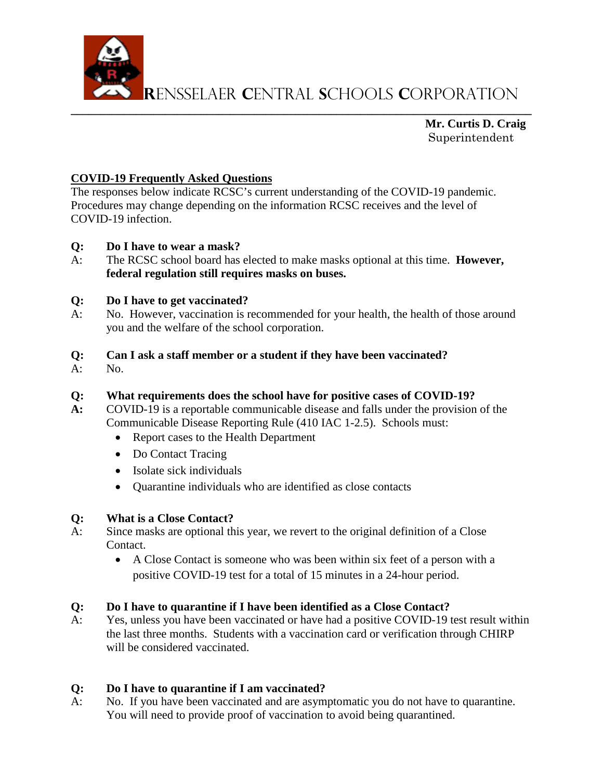

**R**ensselaer **C**entral **S**chools **C**orporation

**\_\_\_\_\_\_\_\_\_\_\_\_\_\_\_\_\_\_\_\_\_\_\_\_\_\_\_\_\_\_\_\_\_\_\_\_\_\_\_\_\_\_\_\_\_\_\_\_\_\_\_\_\_\_\_\_\_\_\_\_\_\_\_\_\_\_\_\_\_\_\_\_\_\_\_\_\_\_ Mr. Curtis D. Craig** Superintendent

# **COVID-19 Frequently Asked Questions**

The responses below indicate RCSC's current understanding of the COVID-19 pandemic. Procedures may change depending on the information RCSC receives and the level of COVID-19 infection.

## **Q: Do I have to wear a mask?**

A: The RCSC school board has elected to make masks optional at this time. **However, federal regulation still requires masks on buses.** 

## **Q: Do I have to get vaccinated?**

- A: No. However, vaccination is recommended for your health, the health of those around you and the welfare of the school corporation.
- **Q: Can I ask a staff member or a student if they have been vaccinated?**
- A: No.

#### **Q: What requirements does the school have for positive cases of COVID-19?**

- **A:** COVID-19 is a reportable communicable disease and falls under the provision of the Communicable Disease Reporting Rule (410 IAC 1-2.5). Schools must:
	- Report cases to the Health Department
	- Do Contact Tracing
	- Isolate sick individuals
	- Quarantine individuals who are identified as close contacts

## **Q: What is a Close Contact?**

- A: Since masks are optional this year, we revert to the original definition of a Close Contact.
	- A Close Contact is someone who was been within six feet of a person with a positive COVID-19 test for a total of 15 minutes in a 24-hour period.

## **Q: Do I have to quarantine if I have been identified as a Close Contact?**

A: Yes, unless you have been vaccinated or have had a positive COVID-19 test result within the last three months. Students with a vaccination card or verification through CHIRP will be considered vaccinated.

## **Q: Do I have to quarantine if I am vaccinated?**

A: No. If you have been vaccinated and are asymptomatic you do not have to quarantine. You will need to provide proof of vaccination to avoid being quarantined.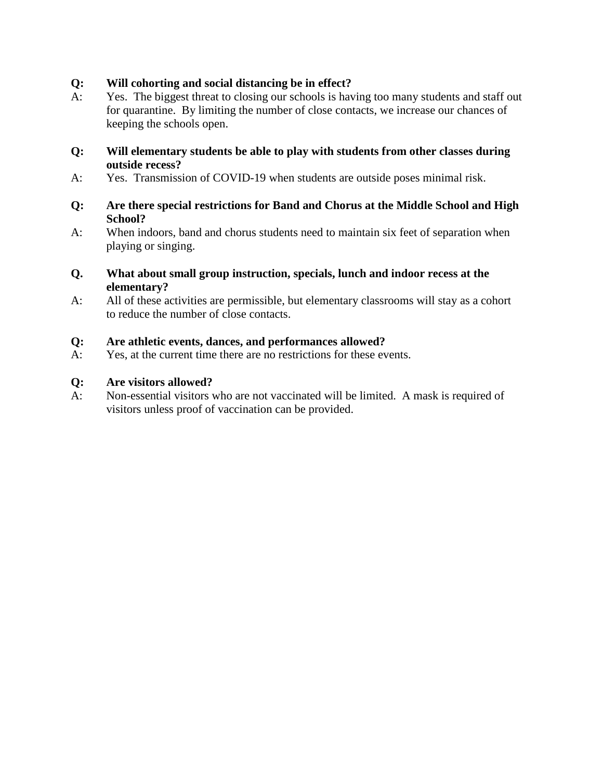## **Q: Will cohorting and social distancing be in effect?**

A: Yes. The biggest threat to closing our schools is having too many students and staff out for quarantine. By limiting the number of close contacts, we increase our chances of keeping the schools open.

#### **Q: Will elementary students be able to play with students from other classes during outside recess?**

- A: Yes. Transmission of COVID-19 when students are outside poses minimal risk.
- **Q: Are there special restrictions for Band and Chorus at the Middle School and High School?**
- A: When indoors, band and chorus students need to maintain six feet of separation when playing or singing.
- **Q. What about small group instruction, specials, lunch and indoor recess at the elementary?**
- A: All of these activities are permissible, but elementary classrooms will stay as a cohort to reduce the number of close contacts.

## **Q: Are athletic events, dances, and performances allowed?**

A: Yes, at the current time there are no restrictions for these events.

## **Q: Are visitors allowed?**

A: Non-essential visitors who are not vaccinated will be limited. A mask is required of visitors unless proof of vaccination can be provided.